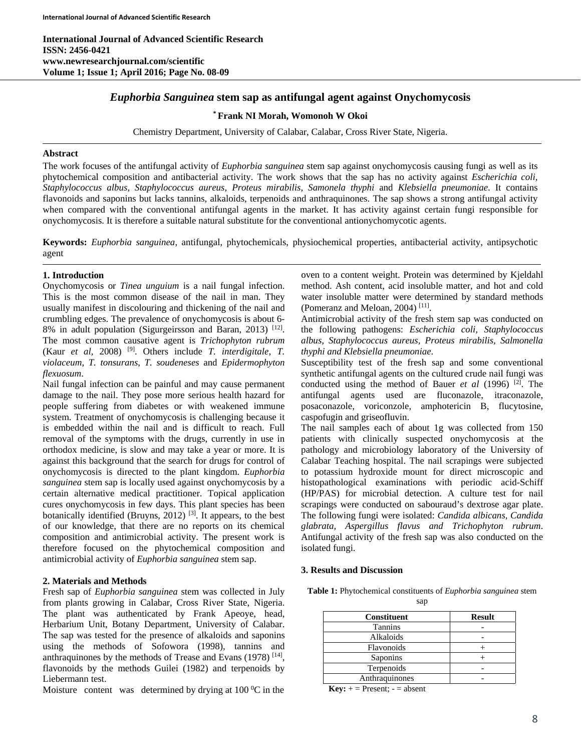**International Journal of Advanced Scientific Research ISSN: 2456-0421 www.newresearchjournal.com/scientific Volume 1; Issue 1; April 2016; Page No. 08-09** 

# *Euphorbia Sanguinea* **stem sap as antifungal agent against Onychomycosis**

# **\* Frank NI Morah, Womonoh W Okoi**

Chemistry Department, University of Calabar, Calabar, Cross River State, Nigeria.

# **Abstract**

The work focuses of the antifungal activity of *Euphorbia sanguinea* stem sap against onychomycosis causing fungi as well as its phytochemical composition and antibacterial activity. The work shows that the sap has no activity against *Escherichia coli, Staphylococcus albus, Staphylococcus aureus, Proteus mirabilis, Samonela thyphi* and *Klebsiella pneumoniae*. It contains flavonoids and saponins but lacks tannins, alkaloids, terpenoids and anthraquinones. The sap shows a strong antifungal activity when compared with the conventional antifungal agents in the market. It has activity against certain fungi responsible for onychomycosis. It is therefore a suitable natural substitute for the conventional antionychomycotic agents.

**Keywords:** *Euphorbia sanguinea*, antifungal, phytochemicals, physiochemical properties, antibacterial activity, antipsychotic agent

#### **1. Introduction**

Onychomycosis or *Tinea unguium* is a nail fungal infection. This is the most common disease of the nail in man. They usually manifest in discolouring and thickening of the nail and crumbling edges. The prevalence of onychomycosis is about 6- 8% in adult population (Sigurgeirsson and Baran, 2013) [12]. The most common causative agent is *Trichophyton rubrum* (Kaur *et al,* 2008) [9]. Others include *T. interdigitale, T. violaceum, T. tonsurans*, *T. soudeneses* and *Epidermophyton flexuosum*.

Nail fungal infection can be painful and may cause permanent damage to the nail. They pose more serious health hazard for people suffering from diabetes or with weakened immune system. Treatment of onychomycosis is challenging because it is embedded within the nail and is difficult to reach. Full removal of the symptoms with the drugs, currently in use in orthodox medicine, is slow and may take a year or more. It is against this background that the search for drugs for control of onychomycosis is directed to the plant kingdom. *Euphorbia sanguinea* stem sap is locally used against onychomycosis by a certain alternative medical practitioner. Topical application cures onychomycosis in few days. This plant species has been botanically identified (Bruyns,  $2012$ )<sup>[3]</sup>. It appears, to the best of our knowledge, that there are no reports on its chemical composition and antimicrobial activity. The present work is therefore focused on the phytochemical composition and antimicrobial activity of *Euphorbia sanguinea* stem sap.

# **2. Materials and Methods**

Fresh sap of *Euphorbia sanguinea* stem was collected in July from plants growing in Calabar, Cross River State, Nigeria. The plant was authenticated by Frank Apeoye, head, Herbarium Unit, Botany Department, University of Calabar. The sap was tested for the presence of alkaloids and saponins using the methods of Sofowora (1998), tannins and anthraquinones by the methods of Trease and Evans  $(1978)$ <sup>[14]</sup>, flavonoids by the methods Guilei (1982) and terpenoids by Liebermann test.

Moisture content was determined by drying at  $100<sup>0</sup>C$  in the

oven to a content weight. Protein was determined by Kjeldahl method. Ash content, acid insoluble matter, and hot and cold water insoluble matter were determined by standard methods (Pomeranz and Meloan, 2004) [11].

Antimicrobial activity of the fresh stem sap was conducted on the following pathogens: *Escherichia coli, Staphylococcus albus, Staphylococcus aureus, Proteus mirabilis, Salmonella thyphi and Klebsiella pneumoniae*.

Susceptibility test of the fresh sap and some conventional synthetic antifungal agents on the cultured crude nail fungi was conducted using the method of Bauer *et al* (1996) [2]. The antifungal agents used are fluconazole, itraconazole, posaconazole, voriconzole, amphotericin B, flucytosine, caspofugin and griseofluvin.

The nail samples each of about 1g was collected from 150 patients with clinically suspected onychomycosis at the pathology and microbiology laboratory of the University of Calabar Teaching hospital. The nail scrapings were subjected to potassium hydroxide mount for direct microscopic and histopathological examinations with periodic acid-Schiff (HP/PAS) for microbial detection. A culture test for nail scrapings were conducted on sabouraud's dextrose agar plate. The following fungi were isolated: *Candida albicans, Candida glabrata, Aspergillus flavus and Trichophyton rubrum*. Antifungal activity of the fresh sap was also conducted on the isolated fungi.

# **3. Results and Discussion**

**Table 1:** Phytochemical constituents of *Euphorbia sanguinea* stem

| <b>Constituent</b> | <b>Result</b> |
|--------------------|---------------|
| <b>Tannins</b>     |               |
| Alkaloids          |               |
| Flavonoids         |               |
| Saponins           |               |
| Terpenoids         |               |
| Anthraquinones     |               |

 $Key: + = Present; - = absent$